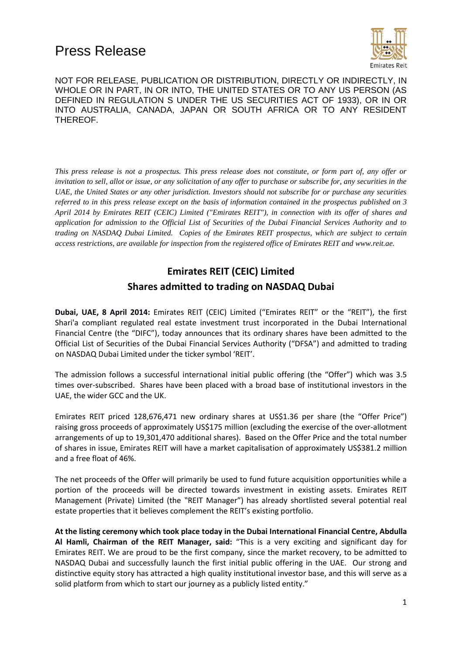

NOT FOR RELEASE, PUBLICATION OR DISTRIBUTION, DIRECTLY OR INDIRECTLY, IN WHOLE OR IN PART, IN OR INTO, THE UNITED STATES OR TO ANY US PERSON (AS DEFINED IN REGULATION S UNDER THE US SECURITIES ACT OF 1933), OR IN OR INTO AUSTRALIA, CANADA, JAPAN OR SOUTH AFRICA OR TO ANY RESIDENT THEREOF.

*This press release is not a prospectus. This press release does not constitute, or form part of, any offer or invitation to sell, allot or issue, or any solicitation of any offer to purchase or subscribe for, any securities in the UAE, the United States or any other jurisdiction. Investors should not subscribe for or purchase any securities referred to in this press release except on the basis of information contained in the prospectus published on 3 April 2014 by Emirates REIT (CEIC) Limited ("Emirates REIT"), in connection with its offer of shares and application for admission to the Official List of Securities of the Dubai Financial Services Authority and to trading on NASDAQ Dubai Limited. Copies of the Emirates REIT prospectus, which are subject to certain access restrictions, are available for inspection from the registered office of Emirates REIT and www.reit.ae.*

#### **Emirates REIT (CEIC) Limited Shares admitted to trading on NASDAQ Dubai**

**Dubai, UAE, 8 April 2014:** Emirates REIT (CEIC) Limited ("Emirates REIT" or the "REIT"), the first Shari'a compliant regulated real estate investment trust incorporated in the Dubai International Financial Centre (the "DIFC"), today announces that its ordinary shares have been admitted to the Official List of Securities of the Dubai Financial Services Authority ("DFSA") and admitted to trading on NASDAQ Dubai Limited under the ticker symbol 'REIT'.

The admission follows a successful international initial public offering (the "Offer") which was 3.5 times over-subscribed. Shares have been placed with a broad base of institutional investors in the UAE, the wider GCC and the UK.

Emirates REIT priced 128,676,471 new ordinary shares at US\$1.36 per share (the "Offer Price") raising gross proceeds of approximately US\$175 million (excluding the exercise of the over-allotment arrangements of up to 19,301,470 additional shares). Based on the Offer Price and the total number of shares in issue, Emirates REIT will have a market capitalisation of approximately US\$381.2 million and a free float of 46%.

The net proceeds of the Offer will primarily be used to fund future acquisition opportunities while a portion of the proceeds will be directed towards investment in existing assets. Emirates REIT Management (Private) Limited (the "REIT Manager") has already shortlisted several potential real estate properties that it believes complement the REIT's existing portfolio.

**At the listing ceremony which took place today in the Dubai International Financial Centre, Abdulla Al Hamli, Chairman of the REIT Manager, said:** "This is a very exciting and significant day for Emirates REIT. We are proud to be the first company, since the market recovery, to be admitted to NASDAQ Dubai and successfully launch the first initial public offering in the UAE. Our strong and distinctive equity story has attracted a high quality institutional investor base, and this will serve as a solid platform from which to start our journey as a publicly listed entity."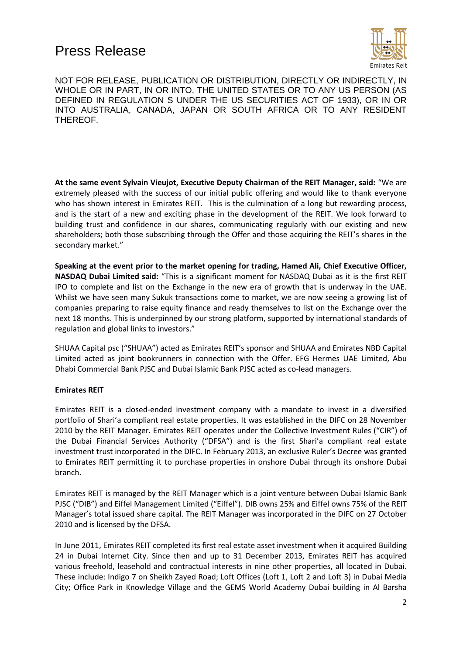

NOT FOR RELEASE, PUBLICATION OR DISTRIBUTION, DIRECTLY OR INDIRECTLY, IN WHOLE OR IN PART, IN OR INTO, THE UNITED STATES OR TO ANY US PERSON (AS DEFINED IN REGULATION S UNDER THE US SECURITIES ACT OF 1933), OR IN OR INTO AUSTRALIA, CANADA, JAPAN OR SOUTH AFRICA OR TO ANY RESIDENT THEREOF.

**At the same event Sylvain Vieujot, Executive Deputy Chairman of the REIT Manager, said:** "We are extremely pleased with the success of our initial public offering and would like to thank everyone who has shown interest in Emirates REIT. This is the culmination of a long but rewarding process, and is the start of a new and exciting phase in the development of the REIT. We look forward to building trust and confidence in our shares, communicating regularly with our existing and new shareholders; both those subscribing through the Offer and those acquiring the REIT's shares in the secondary market."

**Speaking at the event prior to the market opening for trading, Hamed Ali, Chief Executive Officer, NASDAQ Dubai Limited said:** "This is a significant moment for NASDAQ Dubai as it is the first REIT IPO to complete and list on the Exchange in the new era of growth that is underway in the UAE. Whilst we have seen many Sukuk transactions come to market, we are now seeing a growing list of companies preparing to raise equity finance and ready themselves to list on the Exchange over the next 18 months. This is underpinned by our strong platform, supported by international standards of regulation and global links to investors."

SHUAA Capital psc ("SHUAA") acted as Emirates REIT's sponsor and SHUAA and Emirates NBD Capital Limited acted as joint bookrunners in connection with the Offer. EFG Hermes UAE Limited, Abu Dhabi Commercial Bank PJSC and Dubai Islamic Bank PJSC acted as co-lead managers.

#### **Emirates REIT**

Emirates REIT is a closed-ended investment company with a mandate to invest in a diversified portfolio of Shari'a compliant real estate properties. It was established in the DIFC on 28 November 2010 by the REIT Manager. Emirates REIT operates under the Collective Investment Rules ("CIR") of the Dubai Financial Services Authority ("DFSA") and is the first Shari'a compliant real estate investment trust incorporated in the DIFC. In February 2013, an exclusive Ruler's Decree was granted to Emirates REIT permitting it to purchase properties in onshore Dubai through its onshore Dubai branch.

Emirates REIT is managed by the REIT Manager which is a joint venture between Dubai Islamic Bank PJSC ("DIB") and Eiffel Management Limited ("Eiffel"). DIB owns 25% and Eiffel owns 75% of the REIT Manager's total issued share capital. The REIT Manager was incorporated in the DIFC on 27 October 2010 and is licensed by the DFSA.

In June 2011, Emirates REIT completed its first real estate asset investment when it acquired Building 24 in Dubai Internet City. Since then and up to 31 December 2013, Emirates REIT has acquired various freehold, leasehold and contractual interests in nine other properties, all located in Dubai. These include: Indigo 7 on Sheikh Zayed Road; Loft Offices (Loft 1, Loft 2 and Loft 3) in Dubai Media City; Office Park in Knowledge Village and the GEMS World Academy Dubai building in Al Barsha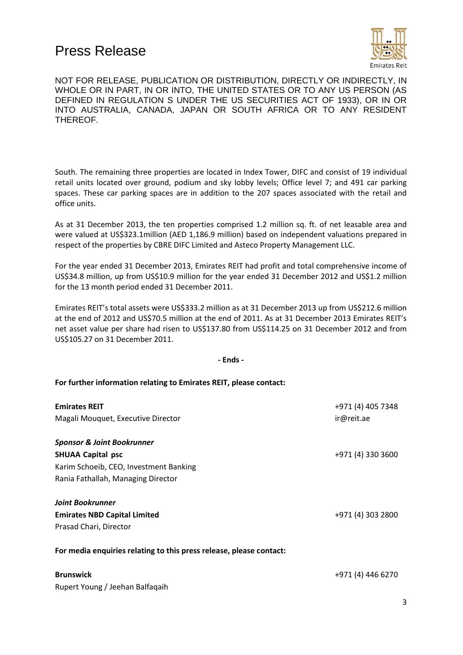

NOT FOR RELEASE, PUBLICATION OR DISTRIBUTION, DIRECTLY OR INDIRECTLY, IN WHOLE OR IN PART, IN OR INTO, THE UNITED STATES OR TO ANY US PERSON (AS DEFINED IN REGULATION S UNDER THE US SECURITIES ACT OF 1933), OR IN OR INTO AUSTRALIA, CANADA, JAPAN OR SOUTH AFRICA OR TO ANY RESIDENT THEREOF.

South. The remaining three properties are located in Index Tower, DIFC and consist of 19 individual retail units located over ground, podium and sky lobby levels; Office level 7; and 491 car parking spaces. These car parking spaces are in addition to the 207 spaces associated with the retail and office units.

As at 31 December 2013, the ten properties comprised 1.2 million sq. ft. of net leasable area and were valued at US\$323.1million (AED 1,186.9 million) based on independent valuations prepared in respect of the properties by CBRE DIFC Limited and Asteco Property Management LLC.

For the year ended 31 December 2013, Emirates REIT had profit and total comprehensive income of US\$34.8 million, up from US\$10.9 million for the year ended 31 December 2012 and US\$1.2 million for the 13 month period ended 31 December 2011.

Emirates REIT's total assets were US\$333.2 million as at 31 December 2013 up from US\$212.6 million at the end of 2012 and US\$70.5 million at the end of 2011. As at 31 December 2013 Emirates REIT's net asset value per share had risen to US\$137.80 from US\$114.25 on 31 December 2012 and from US\$105.27 on 31 December 2011.

**- Ends -**

#### **For further information relating to Emirates REIT, please contact:**

| <b>Emirates REIT</b><br>Magali Mouquet, Executive Director                                                                                        | +971 (4) 405 7348<br>ir@reit.ae |
|---------------------------------------------------------------------------------------------------------------------------------------------------|---------------------------------|
| <b>Sponsor &amp; Joint Bookrunner</b><br><b>SHUAA Capital psc</b><br>Karim Schoeib, CEO, Investment Banking<br>Rania Fathallah, Managing Director | +971 (4) 330 3600               |
| <b>Joint Bookrunner</b><br><b>Emirates NBD Capital Limited</b><br>Prasad Chari, Director                                                          | +971 (4) 303 2800               |
| For media enquiries relating to this press release, please contact:<br><b>Brunswick</b><br>Rupert Young / Jeehan Balfaqaih                        | +971 (4) 446 6270               |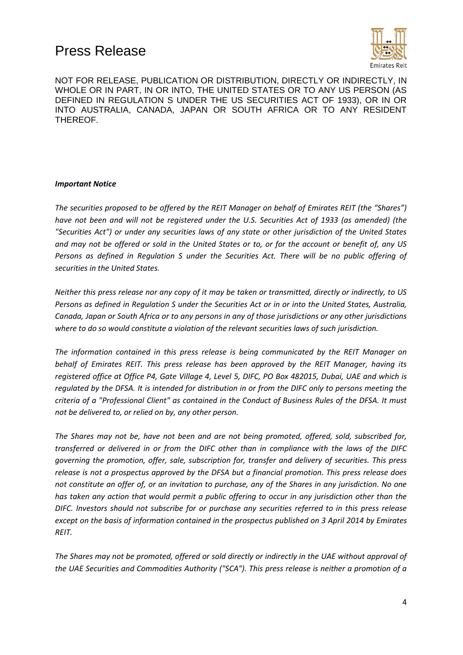

NOT FOR RELEASE, PUBLICATION OR DISTRIBUTION, DIRECTLY OR INDIRECTLY, IN WHOLE OR IN PART, IN OR INTO, THE UNITED STATES OR TO ANY US PERSON (AS DEFINED IN REGULATION S UNDER THE US SECURITIES ACT OF 1933), OR IN OR INTO AUSTRALIA, CANADA, JAPAN OR SOUTH AFRICA OR TO ANY RESIDENT THEREOF.

#### *Important Notice*

*The securities proposed to be offered by the REIT Manager on behalf of Emirates REIT (the "Shares") have not been and will not be registered under the U.S. Securities Act of 1933 (as amended) (the "Securities Act") or under any securities laws of any state or other jurisdiction of the United States and may not be offered or sold in the United States or to, or for the account or benefit of, any US Persons as defined in Regulation S under the Securities Act. There will be no public offering of securities in the United States.*

*Neither this press release nor any copy of it may be taken or transmitted, directly or indirectly, to US Persons as defined in Regulation S under the Securities Act or in or into the United States, Australia, Canada, Japan or South Africa or to any persons in any of those jurisdictions or any other jurisdictions where to do so would constitute a violation of the relevant securities laws of such jurisdiction.*

*The information contained in this press release is being communicated by the REIT Manager on behalf of Emirates REIT. This press release has been approved by the REIT Manager, having its registered office at Office P4, Gate Village 4, Level 5, DIFC, PO Box 482015, Dubai, UAE and which is regulated by the DFSA. It is intended for distribution in or from the DIFC only to persons meeting the criteria of a "Professional Client" as contained in the Conduct of Business Rules of the DFSA. It must not be delivered to, or relied on by, any other person.* 

*The Shares may not be, have not been and are not being promoted, offered, sold, subscribed for, transferred or delivered in or from the DIFC other than in compliance with the laws of the DIFC governing the promotion, offer, sale, subscription for, transfer and delivery of securities. This press release is not a prospectus approved by the DFSA but a financial promotion. This press release does not constitute an offer of, or an invitation to purchase, any of the Shares in any jurisdiction. No one has taken any action that would permit a public offering to occur in any jurisdiction other than the DIFC. Investors should not subscribe for or purchase any securities referred to in this press release except on the basis of information contained in the prospectus published on 3 April 2014 by Emirates REIT.*

*The Shares may not be promoted, offered or sold directly or indirectly in the UAE without approval of the UAE Securities and Commodities Authority ("SCA"). This press release is neither a promotion of a*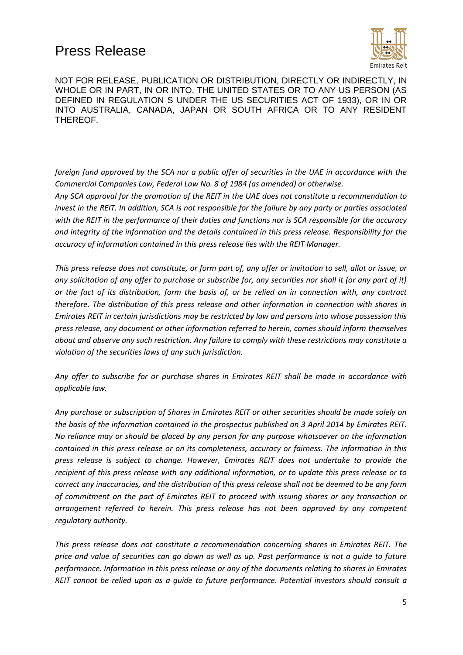

NOT FOR RELEASE, PUBLICATION OR DISTRIBUTION, DIRECTLY OR INDIRECTLY, IN WHOLE OR IN PART, IN OR INTO, THE UNITED STATES OR TO ANY US PERSON (AS DEFINED IN REGULATION S UNDER THE US SECURITIES ACT OF 1933), OR IN OR INTO AUSTRALIA, CANADA, JAPAN OR SOUTH AFRICA OR TO ANY RESIDENT THEREOF.

*foreign fund approved by the SCA nor a public offer of securities in the UAE in accordance with the Commercial Companies Law, Federal Law No. 8 of 1984 (as amended) or otherwise.*

*Any SCA approval for the promotion of the REIT in the UAE does not constitute a recommendation to invest in the REIT. In addition, SCA is not responsible for the failure by any party or parties associated with the REIT in the performance of their duties and functions nor is SCA responsible for the accuracy and integrity of the information and the details contained in this press release. Responsibility for the accuracy of information contained in this press release lies with the REIT Manager.*

*This press release does not constitute, or form part of, any offer or invitation to sell, allot or issue, or any solicitation of any offer to purchase or subscribe for, any securities nor shall it (or any part of it) or the fact of its distribution, form the basis of, or be relied on in connection with, any contract therefore. The distribution of this press release and other information in connection with shares in Emirates REIT in certain jurisdictions may be restricted by law and persons into whose possession this press release, any document or other information referred to herein, comes should inform themselves about and observe any such restriction. Any failure to comply with these restrictions may constitute a violation of the securities laws of any such jurisdiction.*

*Any offer to subscribe for or purchase shares in Emirates REIT shall be made in accordance with applicable law.* 

*Any purchase or subscription of Shares in Emirates REIT or other securities should be made solely on the basis of the information contained in the prospectus published on 3 April 2014 by Emirates REIT. No reliance may or should be placed by any person for any purpose whatsoever on the information contained in this press release or on its completeness, accuracy or fairness. The information in this press release is subject to change. However, Emirates REIT does not undertake to provide the recipient of this press release with any additional information, or to update this press release or to correct any inaccuracies, and the distribution of this press release shall not be deemed to be any form of commitment on the part of Emirates REIT to proceed with issuing shares or any transaction or arrangement referred to herein. This press release has not been approved by any competent regulatory authority.*

*This press release does not constitute a recommendation concerning shares in Emirates REIT. The price and value of securities can go down as well as up. Past performance is not a guide to future performance. Information in this press release or any of the documents relating to shares in Emirates REIT cannot be relied upon as a guide to future performance. Potential investors should consult a*